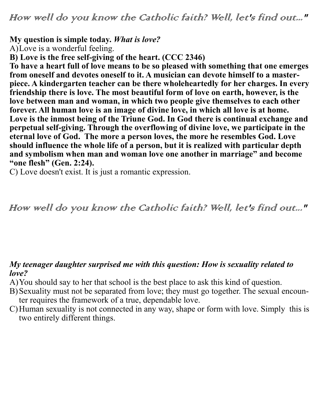How well do you know the Catholic faith? Well, let's find out..."

## **My question is simple today.** *What is love?*

A)Love is a wonderful feeling.

**B) Love is the free self-giving of the heart. (CCC 2346)**

**To have a heart full of love means to be so pleased with something that one emerges from oneself and devotes oneself to it. A musician can devote himself to a masterpiece. A kindergarten teacher can be there wholeheartedly for her charges. In every friendship there is love. The most beautiful form of love on earth, however, is the love between man and woman, in which two people give themselves to each other forever. All human love is an image of divine love, in which all love is at home. Love is the inmost being of the Triune God. In God there is continual exchange and perpetual self-giving. Through the overflowing of divine love, we participate in the eternal love of God. The more a person loves, the more he resembles God. Love should influence the whole life of a person, but it is realized with particular depth and symbolism when man and woman love one another in marriage" and become "one flesh" (Gen. 2:24).** 

C) Love doesn't exist. It is just a romantic expression.

How well do you know the Catholic faith? Well, let's find out..."

## *My teenager daughter surprised me with this question: How is sexuality related to love?*

- A)You should say to her that school is the best place to ask this kind of question.
- B)Sexuality must not be separated from love; they must go together. The sexual encounter requires the framework of a true, dependable love.
- C)Human sexuality is not connected in any way, shape or form with love. Simply this is two entirely different things.